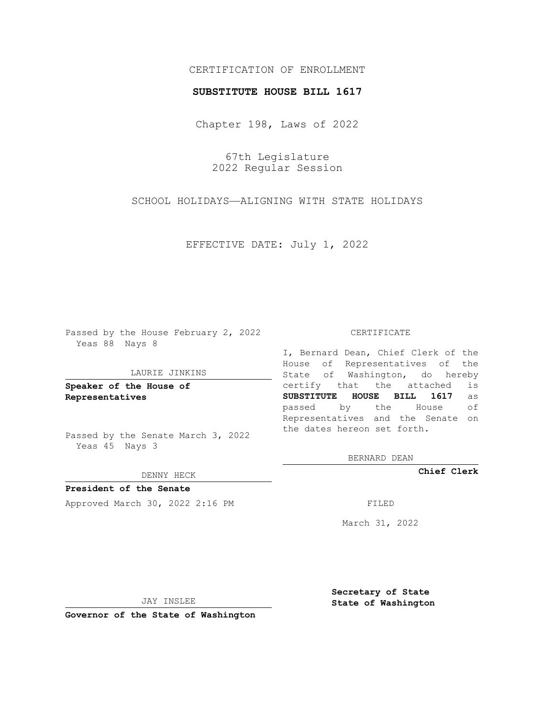# CERTIFICATION OF ENROLLMENT

## **SUBSTITUTE HOUSE BILL 1617**

Chapter 198, Laws of 2022

67th Legislature 2022 Regular Session

SCHOOL HOLIDAYS—ALIGNING WITH STATE HOLIDAYS

EFFECTIVE DATE: July 1, 2022

Passed by the House February 2, 2022 Yeas 88 Nays 8

#### LAURIE JINKINS

**Speaker of the House of Representatives**

Passed by the Senate March 3, 2022 Yeas 45 Nays 3

### DENNY HECK

**President of the Senate** Approved March 30, 2022 2:16 PM

#### CERTIFICATE

I, Bernard Dean, Chief Clerk of the House of Representatives of the State of Washington, do hereby certify that the attached is **SUBSTITUTE HOUSE BILL 1617** as passed by the House of Representatives and the Senate on the dates hereon set forth.

BERNARD DEAN

**Chief Clerk**

March 31, 2022

JAY INSLEE

**Governor of the State of Washington**

**Secretary of State State of Washington**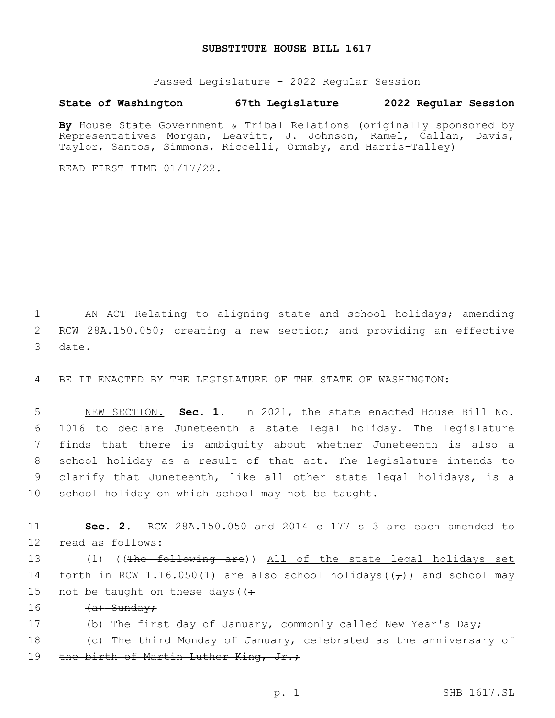# **SUBSTITUTE HOUSE BILL 1617**

Passed Legislature - 2022 Regular Session

**State of Washington 67th Legislature 2022 Regular Session**

By House State Government & Tribal Relations (originally sponsored by Representatives Morgan, Leavitt, J. Johnson, Ramel, Callan, Davis, Taylor, Santos, Simmons, Riccelli, Ormsby, and Harris-Talley)

READ FIRST TIME 01/17/22.

1 AN ACT Relating to aligning state and school holidays; amending 2 RCW 28A.150.050; creating a new section; and providing an effective 3 date.

4 BE IT ENACTED BY THE LEGISLATURE OF THE STATE OF WASHINGTON:

 NEW SECTION. **Sec. 1.** In 2021, the state enacted House Bill No. 1016 to declare Juneteenth a state legal holiday. The legislature finds that there is ambiguity about whether Juneteenth is also a school holiday as a result of that act. The legislature intends to clarify that Juneteenth, like all other state legal holidays, is a school holiday on which school may not be taught.

11 **Sec. 2.** RCW 28A.150.050 and 2014 c 177 s 3 are each amended to 12 read as follows:

13 (1) ((The following are)) All of the state legal holidays set 14 forth in RCW 1.16.050(1) are also school holidays( $(\tau)$ ) and school may 15 not be taught on these days ( $\left(\div\right)$ 

16 <del>(a) Sunday;</del>

17 (b) The first day of January, commonly called New Year's Day;

18 (c) The third Monday of January, celebrated as the anniversary of 19 the birth of Martin Luther King, Jr.;